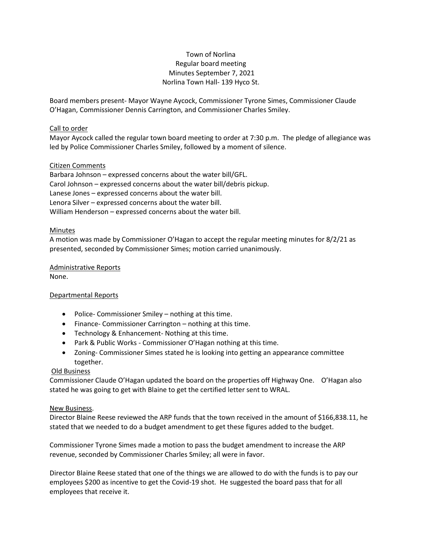## Town of Norlina Regular board meeting Minutes September 7, 2021 Norlina Town Hall- 139 Hyco St.

Board members present- Mayor Wayne Aycock, Commissioner Tyrone Simes, Commissioner Claude O'Hagan, Commissioner Dennis Carrington, and Commissioner Charles Smiley.

## Call to order

Mayor Aycock called the regular town board meeting to order at 7:30 p.m. The pledge of allegiance was led by Police Commissioner Charles Smiley, followed by a moment of silence.

## Citizen Comments

Barbara Johnson – expressed concerns about the water bill/GFL. Carol Johnson – expressed concerns about the water bill/debris pickup. Lanese Jones – expressed concerns about the water bill. Lenora Silver – expressed concerns about the water bill. William Henderson – expressed concerns about the water bill.

### Minutes

A motion was made by Commissioner O'Hagan to accept the regular meeting minutes for 8/2/21 as presented, seconded by Commissioner Simes; motion carried unanimously.

# Administrative Reports

None.

## Departmental Reports

- Police- Commissioner Smiley nothing at this time.
- Finance- Commissioner Carrington nothing at this time.
- Technology & Enhancement- Nothing at this time.
- Park & Public Works Commissioner O'Hagan nothing at this time.
- Zoning- Commissioner Simes stated he is looking into getting an appearance committee together.

## Old Business

Commissioner Claude O'Hagan updated the board on the properties off Highway One. O'Hagan also stated he was going to get with Blaine to get the certified letter sent to WRAL.

#### New Business.

Director Blaine Reese reviewed the ARP funds that the town received in the amount of \$166,838.11, he stated that we needed to do a budget amendment to get these figures added to the budget.

Commissioner Tyrone Simes made a motion to pass the budget amendment to increase the ARP revenue, seconded by Commissioner Charles Smiley; all were in favor.

Director Blaine Reese stated that one of the things we are allowed to do with the funds is to pay our employees \$200 as incentive to get the Covid-19 shot. He suggested the board pass that for all employees that receive it.